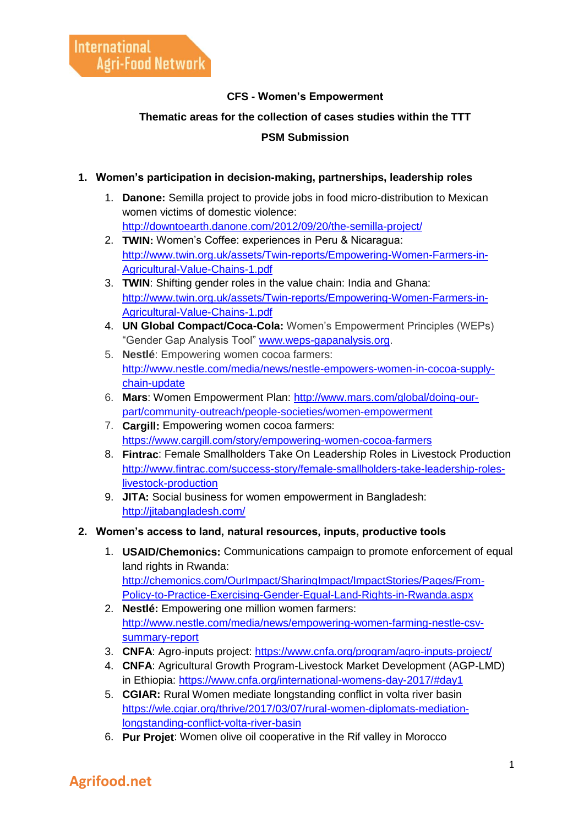#### **CFS - Women's Empowerment**

#### **Thematic areas for the collection of cases studies within the TTT**

#### **PSM Submission**

#### **1. Women's participation in decision-making, partnerships, leadership roles**

- 1. **Danone:** Semilla project to provide jobs in food micro-distribution to Mexican women victims of domestic violence: <http://downtoearth.danone.com/2012/09/20/the-semilla-project/>
- 2. **TWIN:** Women's Coffee: experiences in Peru & Nicaragua: [http://www.twin.org.uk/assets/Twin-reports/Empowering-Women-Farmers-in-](http://www.twin.org.uk/assets/Twin-reports/Empowering-Women-Farmers-in-Agricultural-Value-Chains-1.pdf)[Agricultural-Value-Chains-1.pdf](http://www.twin.org.uk/assets/Twin-reports/Empowering-Women-Farmers-in-Agricultural-Value-Chains-1.pdf)
- 3. **TWIN**: Shifting gender roles in the value chain: India and Ghana: [http://www.twin.org.uk/assets/Twin-reports/Empowering-Women-Farmers-in-](http://www.twin.org.uk/assets/Twin-reports/Empowering-Women-Farmers-in-Agricultural-Value-Chains-1.pdf)[Agricultural-Value-Chains-1.pdf](http://www.twin.org.uk/assets/Twin-reports/Empowering-Women-Farmers-in-Agricultural-Value-Chains-1.pdf)
- 4. **UN Global Compact/Coca-Cola:** Women's Empowerment Principles (WEPs) "Gender Gap Analysis Tool" [www.weps-gapanalysis.org.](http://www.weps-gapanalysis.org/)
- 5. **Nestlé**: Empowering women cocoa farmers: [http://www.nestle.com/media/news/nestle-empowers-women-in-cocoa-supply](http://www.nestle.com/media/news/nestle-empowers-women-in-cocoa-supply-chain-update)[chain-update](http://www.nestle.com/media/news/nestle-empowers-women-in-cocoa-supply-chain-update)
- 6. **Mars**: Women Empowerment Plan: [http://www.mars.com/global/doing-our](http://www.mars.com/global/doing-our-part/community-outreach/people-societies/women-empowerment)[part/community-outreach/people-societies/women-empowerment](http://www.mars.com/global/doing-our-part/community-outreach/people-societies/women-empowerment)
- 7. **Cargill:** Empowering women cocoa farmers: <https://www.cargill.com/story/empowering-women-cocoa-farmers>
- 8. **Fintrac**: Female Smallholders Take On Leadership Roles in Livestock Production [http://www.fintrac.com/success-story/female-smallholders-take-leadership-roles](http://www.fintrac.com/success-story/female-smallholders-take-leadership-roles-livestock-production)[livestock-production](http://www.fintrac.com/success-story/female-smallholders-take-leadership-roles-livestock-production)
- 9. **JITA:** Social business for women empowerment in Bangladesh: <http://jitabangladesh.com/>
- **2. Women's access to land, natural resources, inputs, productive tools**
	- 1. **USAID/Chemonics:** Communications campaign to promote enforcement of equal land rights in Rwanda: [http://chemonics.com/OurImpact/SharingImpact/ImpactStories/Pages/From-](http://chemonics.com/OurImpact/SharingImpact/ImpactStories/Pages/From-Policy-to-Practice-Exercising-Gender-Equal-Land-Rights-in-Rwanda.aspx)[Policy-to-Practice-Exercising-Gender-Equal-Land-Rights-in-Rwanda.aspx](http://chemonics.com/OurImpact/SharingImpact/ImpactStories/Pages/From-Policy-to-Practice-Exercising-Gender-Equal-Land-Rights-in-Rwanda.aspx)
	- 2. **Nestlé:** Empowering one million women farmers: [http://www.nestle.com/media/news/empowering-women-farming-nestle-csv](http://www.nestle.com/media/news/empowering-women-farming-nestle-csv-summary-report)[summary-report](http://www.nestle.com/media/news/empowering-women-farming-nestle-csv-summary-report)
	- 3. **CNFA**: Agro-inputs project:<https://www.cnfa.org/program/agro-inputs-project/>
	- 4. **CNFA**: Agricultural Growth Program-Livestock Market Development (AGP-LMD) in Ethiopia:<https://www.cnfa.org/international-womens-day-2017/#day1>
	- 5. **CGIAR:** Rural Women mediate longstanding conflict in volta river basin [https://wle.cgiar.org/thrive/2017/03/07/rural-women-diplomats-mediation](https://wle.cgiar.org/thrive/2017/03/07/rural-women-diplomats-mediation-longstanding-conflict-volta-river-basin)[longstanding-conflict-volta-river-basin](https://wle.cgiar.org/thrive/2017/03/07/rural-women-diplomats-mediation-longstanding-conflict-volta-river-basin)
	- 6. **Pur Projet**: Women olive oil cooperative in the Rif valley in Morocco

## **Agrifood.net**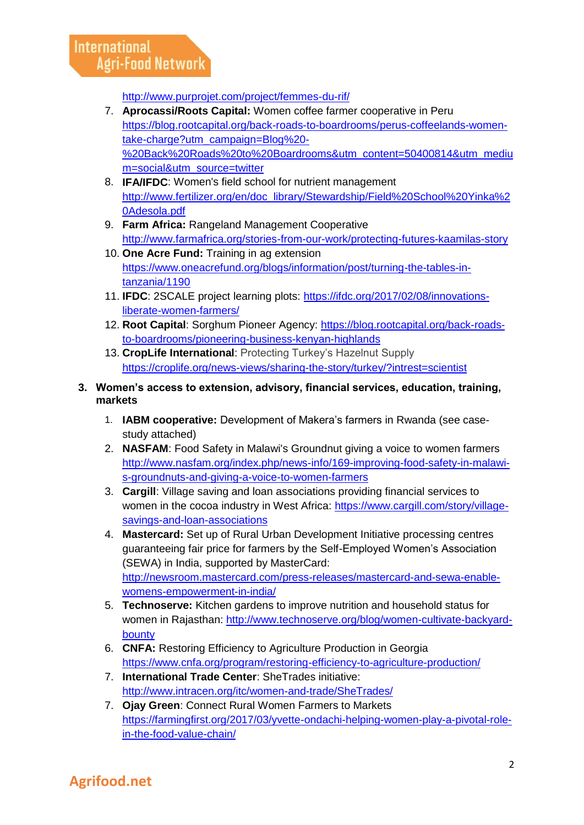<http://www.purprojet.com/project/femmes-du-rif/>

- 7. **Aprocassi/Roots Capital:** Women coffee farmer cooperative in Peru [https://blog.rootcapital.org/back-roads-to-boardrooms/perus-coffeelands-women](https://blog.rootcapital.org/back-roads-to-boardrooms/perus-coffeelands-women-take-charge?utm_campaign=Blog%20-%20Back%20Roads%20to%20Boardrooms&utm_content=50400814&utm_medium=social&utm_source=twitter)[take-charge?utm\\_campaign=Blog%20-](https://blog.rootcapital.org/back-roads-to-boardrooms/perus-coffeelands-women-take-charge?utm_campaign=Blog%20-%20Back%20Roads%20to%20Boardrooms&utm_content=50400814&utm_medium=social&utm_source=twitter) [%20Back%20Roads%20to%20Boardrooms&utm\\_content=50400814&utm\\_mediu](https://blog.rootcapital.org/back-roads-to-boardrooms/perus-coffeelands-women-take-charge?utm_campaign=Blog%20-%20Back%20Roads%20to%20Boardrooms&utm_content=50400814&utm_medium=social&utm_source=twitter) [m=social&utm\\_source=twitter](https://blog.rootcapital.org/back-roads-to-boardrooms/perus-coffeelands-women-take-charge?utm_campaign=Blog%20-%20Back%20Roads%20to%20Boardrooms&utm_content=50400814&utm_medium=social&utm_source=twitter)
- 8. **IFA/IFDC**: Women's field school for nutrient management [http://www.fertilizer.org/en/doc\\_library/Stewardship/Field%20School%20Yinka%2](http://www.fertilizer.org/en/doc_library/Stewardship/Field%20School%20Yinka%20Adesola.pdf) [0Adesola.pdf](http://www.fertilizer.org/en/doc_library/Stewardship/Field%20School%20Yinka%20Adesola.pdf)
- 9. **Farm Africa:** Rangeland Management Cooperative <http://www.farmafrica.org/stories-from-our-work/protecting-futures-kaamilas-story>
- 10. **One Acre Fund:** Training in ag extension [https://www.oneacrefund.org/blogs/information/post/turning-the-tables-in](https://www.oneacrefund.org/blogs/information/post/turning-the-tables-in-tanzania/1190)[tanzania/1190](https://www.oneacrefund.org/blogs/information/post/turning-the-tables-in-tanzania/1190)
- 11. **IFDC**: 2SCALE project learning plots: [https://ifdc.org/2017/02/08/innovations](https://ifdc.org/2017/02/08/innovations-liberate-women-farmers/)[liberate-women-farmers/](https://ifdc.org/2017/02/08/innovations-liberate-women-farmers/)
- 12. **Root Capital**: Sorghum Pioneer Agency: [https://blog.rootcapital.org/back-roads](https://blog.rootcapital.org/back-roads-to-boardrooms/pioneering-business-kenyan-highlands)[to-boardrooms/pioneering-business-kenyan-highlands](https://blog.rootcapital.org/back-roads-to-boardrooms/pioneering-business-kenyan-highlands)
- 13. **CropLife International**: Protecting Turkey's Hazelnut Supply <https://croplife.org/news-views/sharing-the-story/turkey/?intrest=scientist>

#### **3. Women's access to extension, advisory, financial services, education, training, markets**

- 1. **IABM cooperative:** Development of Makera's farmers in Rwanda (see casestudy attached)
- 2. **NASFAM**: Food Safety in Malawi's Groundnut giving a voice to women farmers [http://www.nasfam.org/index.php/news-info/169-improving-food-safety-in-malawi](http://www.nasfam.org/index.php/news-info/169-improving-food-safety-in-malawi-s-groundnuts-and-giving-a-voice-to-women-farmers)[s-groundnuts-and-giving-a-voice-to-women-farmers](http://www.nasfam.org/index.php/news-info/169-improving-food-safety-in-malawi-s-groundnuts-and-giving-a-voice-to-women-farmers)
- 3. **Cargill**: Village saving and loan associations providing financial services to women in the cocoa industry in West Africa: [https://www.cargill.com/story/village](https://www.cargill.com/story/village-savings-and-loan-associations)[savings-and-loan-associations](https://www.cargill.com/story/village-savings-and-loan-associations)
- 4. **Mastercard:** Set up of Rural Urban Development Initiative processing centres guaranteeing fair price for farmers by the Self-Employed Women's Association (SEWA) in India, supported by MasterCard: [http://newsroom.mastercard.com/press-releases/mastercard-and-sewa-enable](http://newsroom.mastercard.com/press-releases/mastercard-and-sewa-enable-womens-empowerment-in-india/)[womens-empowerment-in-india/](http://newsroom.mastercard.com/press-releases/mastercard-and-sewa-enable-womens-empowerment-in-india/)
- 5. **Technoserve:** Kitchen gardens to improve nutrition and household status for women in Rajasthan: [http://www.technoserve.org/blog/women-cultivate-backyard](http://www.technoserve.org/blog/women-cultivate-backyard-bounty)[bounty](http://www.technoserve.org/blog/women-cultivate-backyard-bounty)
- 6. **CNFA:** Restoring Efficiency to Agriculture Production in Georgia <https://www.cnfa.org/program/restoring-efficiency-to-agriculture-production/>
- 7. **International Trade Center**: SheTrades initiative: <http://www.intracen.org/itc/women-and-trade/SheTrades/>
- 7. **Ojay Green**: Connect Rural Women Farmers to Markets [https://farmingfirst.org/2017/03/yvette-ondachi-helping-women-play-a-pivotal-role](https://farmingfirst.org/2017/03/yvette-ondachi-helping-women-play-a-pivotal-role-in-the-food-value-chain/)[in-the-food-value-chain/](https://farmingfirst.org/2017/03/yvette-ondachi-helping-women-play-a-pivotal-role-in-the-food-value-chain/)

# **Agrifood.net**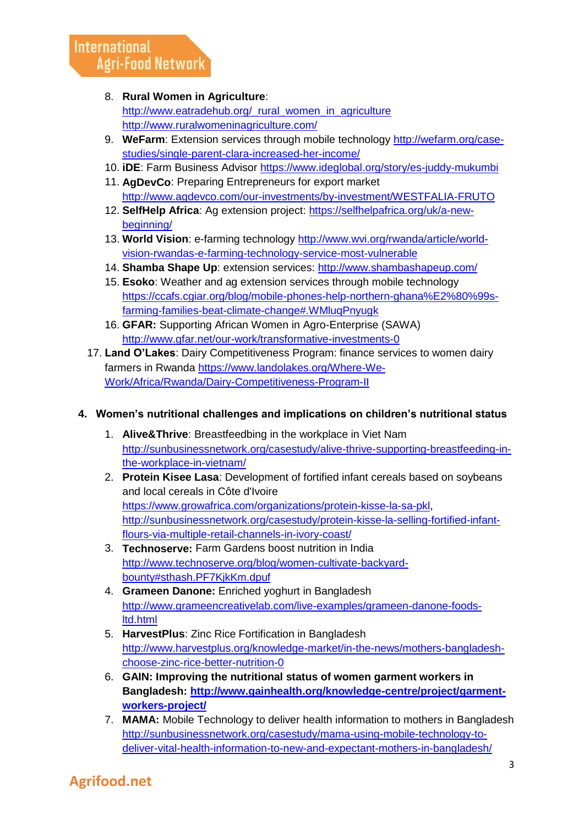#### 8. **Rural Women in Agriculture**:

[http://www.eatradehub.org/\\_rural\\_women\\_in\\_agriculture](http://www.eatradehub.org/_rural_women_in_agriculture) <http://www.ruralwomeninagriculture.com/>

- 9. **WeFarm**: Extension services through mobile technology [http://wefarm.org/case](http://wefarm.org/case-studies/single-parent-clara-increased-her-income/)[studies/single-parent-clara-increased-her-income/](http://wefarm.org/case-studies/single-parent-clara-increased-her-income/)
- 10. **iDE**: Farm Business Advisor<https://www.ideglobal.org/story/es-juddy-mukumbi>
- 11. **AgDevCo**: Preparing Entrepreneurs for export market <http://www.agdevco.com/our-investments/by-investment/WESTFALIA-FRUTO>
- 12. **SelfHelp Africa**: Ag extension project: [https://selfhelpafrica.org/uk/a-new](https://selfhelpafrica.org/uk/a-new-beginning/)[beginning/](https://selfhelpafrica.org/uk/a-new-beginning/)
- 13. **World Vision**: e-farming technology [http://www.wvi.org/rwanda/article/world](http://www.wvi.org/rwanda/article/world-vision-rwandas-e-farming-technology-service-most-vulnerable)[vision-rwandas-e-farming-technology-service-most-vulnerable](http://www.wvi.org/rwanda/article/world-vision-rwandas-e-farming-technology-service-most-vulnerable)
- 14. **Shamba Shape Up**: extension services:<http://www.shambashapeup.com/>
- 15. **Esoko**: Weather and ag extension services through mobile technology [https://ccafs.cgiar.org/blog/mobile-phones-help-northern-ghana%E2%80%99s](https://ccafs.cgiar.org/blog/mobile-phones-help-northern-ghana%E2%80%99s-farming-families-beat-climate-change#.WMluqPnyugk)[farming-families-beat-climate-change#.WMluqPnyugk](https://ccafs.cgiar.org/blog/mobile-phones-help-northern-ghana%E2%80%99s-farming-families-beat-climate-change#.WMluqPnyugk)
- 16. **GFAR:** Supporting African Women in Agro-Enterprise (SAWA) <http://www.gfar.net/our-work/transformative-investments-0>
- 17. **Land O'Lakes**: Dairy Competitiveness Program: finance services to women dairy farmers in Rwanda [https://www.landolakes.org/Where-We-](https://www.landolakes.org/Where-We-Work/Africa/Rwanda/Dairy-Competitiveness-Program-II)[Work/Africa/Rwanda/Dairy-Competitiveness-Program-II](https://www.landolakes.org/Where-We-Work/Africa/Rwanda/Dairy-Competitiveness-Program-II)

#### **4. Women's nutritional challenges and implications on children's nutritional status**

- 1. **Alive&Thrive**: Breastfeedbing in the workplace in Viet Nam [http://sunbusinessnetwork.org/casestudy/alive-thrive-supporting-breastfeeding-in](http://sunbusinessnetwork.org/casestudy/alive-thrive-supporting-breastfeeding-in-the-workplace-in-vietnam/)[the-workplace-in-vietnam/](http://sunbusinessnetwork.org/casestudy/alive-thrive-supporting-breastfeeding-in-the-workplace-in-vietnam/)
- 2. **Protein Kisee Lasa**: Development of fortified infant cereals based on soybeans and local cereals in Côte d'Ivoire [https://www.growafrica.com/organizations/protein-kisse-la-sa-pkl,](https://www.growafrica.com/organizations/protein-kisse-la-sa-pkl) [http://sunbusinessnetwork.org/casestudy/protein-kisse-la-selling-fortified-infant](http://sunbusinessnetwork.org/casestudy/protein-kisse-la-selling-fortified-infant-flours-via-multiple-retail-channels-in-ivory-coast/)[flours-via-multiple-retail-channels-in-ivory-coast/](http://sunbusinessnetwork.org/casestudy/protein-kisse-la-selling-fortified-infant-flours-via-multiple-retail-channels-in-ivory-coast/)
- 3. **Technoserve:** Farm Gardens boost nutrition in India [http://www.technoserve.org/blog/women-cultivate-backyard](http://www.technoserve.org/blog/women-cultivate-backyard-bounty#sthash.PF7KjkKm.dpuf)[bounty#sthash.PF7KjkKm.dpuf](http://www.technoserve.org/blog/women-cultivate-backyard-bounty#sthash.PF7KjkKm.dpuf)
- 4. **Grameen Danone:** Enriched yoghurt in Bangladesh [http://www.grameencreativelab.com/live-examples/grameen-danone-foods](http://www.grameencreativelab.com/live-examples/grameen-danone-foods-ltd.html)[ltd.html](http://www.grameencreativelab.com/live-examples/grameen-danone-foods-ltd.html)
- 5. **HarvestPlus**: Zinc Rice Fortification in Bangladesh [http://www.harvestplus.org/knowledge-market/in-the-news/mothers-bangladesh](http://www.harvestplus.org/knowledge-market/in-the-news/mothers-bangladesh-choose-zinc-rice-better-nutrition-0)[choose-zinc-rice-better-nutrition-0](http://www.harvestplus.org/knowledge-market/in-the-news/mothers-bangladesh-choose-zinc-rice-better-nutrition-0)
- 6. **GAIN: Improving the nutritional status of women garment workers in Bangladesh: [http://www.gainhealth.org/knowledge-centre/project/garment](http://www.gainhealth.org/knowledge-centre/project/garment-workers-project/)[workers-project/](http://www.gainhealth.org/knowledge-centre/project/garment-workers-project/)**
- 7. **MAMA:** Mobile Technology to deliver health information to mothers in Bangladesh [http://sunbusinessnetwork.org/casestudy/mama-using-mobile-technology-to](http://sunbusinessnetwork.org/casestudy/mama-using-mobile-technology-to-deliver-vital-health-information-to-new-and-expectant-mothers-in-bangladesh/)[deliver-vital-health-information-to-new-and-expectant-mothers-in-bangladesh/](http://sunbusinessnetwork.org/casestudy/mama-using-mobile-technology-to-deliver-vital-health-information-to-new-and-expectant-mothers-in-bangladesh/)

### **Agrifood.net**